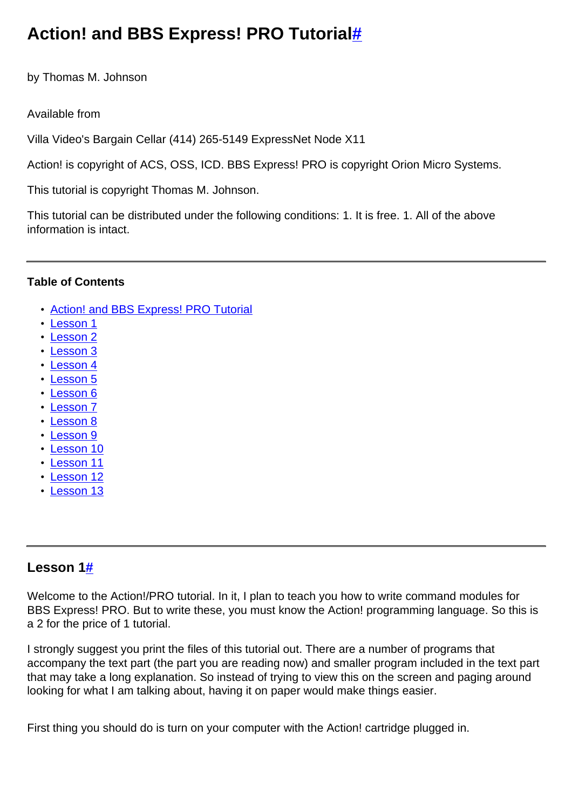# **Action! and BBS Express! PRO Tutoria[l#](http://[fd00::119]:8080/wiki/#section-Action+and+BBS+Express+PRO+Tutorial-ActionAndBBSExpressPROTutorial)**

by Thomas M. Johnson

Available from

Villa Video's Bargain Cellar (414) 265-5149 ExpressNet Node X11

Action! is copyright of ACS, OSS, ICD. BBS Express! PRO is copyright Orion Micro Systems.

This tutorial is copyright Thomas M. Johnson.

This tutorial can be distributed under the following conditions: 1. It is free. 1. All of the above information is intact.

### **Table of Contents**

- [Action! and BBS Express! PRO Tutorial](http://[fd00::119]:8080/wiki/#section-Action+and+BBS+Express+PRO+Tutorial-ActionAndBBSExpressPROTutorial)
- [Lesson 1](http://[fd00::119]:8080/wiki/#section-Action+and+BBS+Express+PRO+Tutorial-Lesson1)
- [Lesson 2](http://[fd00::119]:8080/wiki/#section-Action+and+BBS+Express+PRO+Tutorial-Lesson2)
- [Lesson 3](http://[fd00::119]:8080/wiki/#section-Action+and+BBS+Express+PRO+Tutorial-Lesson3)
- [Lesson 4](http://[fd00::119]:8080/wiki/#section-Action+and+BBS+Express+PRO+Tutorial-Lesson4)
- [Lesson 5](http://[fd00::119]:8080/wiki/#section-Action+and+BBS+Express+PRO+Tutorial-Lesson5)
- [Lesson 6](http://[fd00::119]:8080/wiki/#section-Action+and+BBS+Express+PRO+Tutorial-Lesson6)
- [Lesson 7](http://[fd00::119]:8080/wiki/#section-Action+and+BBS+Express+PRO+Tutorial-Lesson7)
- [Lesson 8](http://[fd00::119]:8080/wiki/#section-Action+and+BBS+Express+PRO+Tutorial-Lesson8)
- [Lesson 9](http://[fd00::119]:8080/wiki/#section-Action+and+BBS+Express+PRO+Tutorial-Lesson9)
- [Lesson 10](http://[fd00::119]:8080/wiki/#section-Action+and+BBS+Express+PRO+Tutorial-Lesson10)
- [Lesson 11](http://[fd00::119]:8080/wiki/#section-Action+and+BBS+Express+PRO+Tutorial-Lesson11)
- [Lesson 12](http://[fd00::119]:8080/wiki/#section-Action+and+BBS+Express+PRO+Tutorial-Lesson12)
- [Lesson 13](http://[fd00::119]:8080/wiki/#section-Action+and+BBS+Express+PRO+Tutorial-Lesson13)

### **Lesson [1#](http://[fd00::119]:8080/wiki/#section-Action+and+BBS+Express+PRO+Tutorial-Lesson1)**

Welcome to the Action!/PRO tutorial. In it, I plan to teach you how to write command modules for BBS Express! PRO. But to write these, you must know the Action! programming language. So this is a 2 for the price of 1 tutorial.

I strongly suggest you print the files of this tutorial out. There are a number of programs that accompany the text part (the part you are reading now) and smaller program included in the text part that may take a long explanation. So instead of trying to view this on the screen and paging around looking for what I am talking about, having it on paper would make things easier.

First thing you should do is turn on your computer with the Action! cartridge plugged in.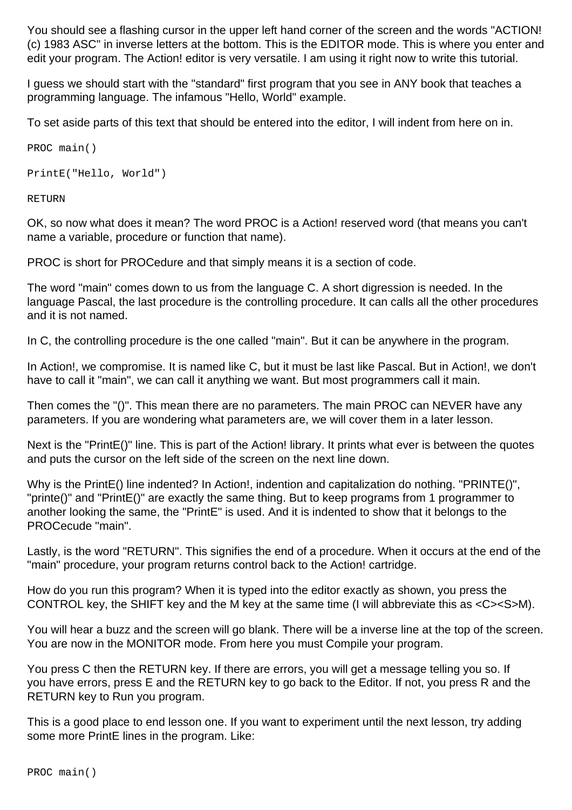You should see a flashing cursor in the upper left hand corner of the screen and the words "ACTION! (c) 1983 ASC" in inverse letters at the bottom. This is the EDITOR mode. This is where you enter and edit your program. The Action! editor is very versatile. I am using it right now to write this tutorial.

I guess we should start with the "standard" first program that you see in ANY book that teaches a programming language. The infamous "Hello, World" example.

To set aside parts of this text that should be entered into the editor, I will indent from here on in.

```
PROC main()
```

```
PrintE("Hello, World")
```
RETURN

OK, so now what does it mean? The word PROC is a Action! reserved word (that means you can't name a variable, procedure or function that name).

PROC is short for PROCedure and that simply means it is a section of code.

The word "main" comes down to us from the language C. A short digression is needed. In the language Pascal, the last procedure is the controlling procedure. It can calls all the other procedures and it is not named.

In C, the controlling procedure is the one called "main". But it can be anywhere in the program.

In Action!, we compromise. It is named like C, but it must be last like Pascal. But in Action!, we don't have to call it "main", we can call it anything we want. But most programmers call it main.

Then comes the "()". This mean there are no parameters. The main PROC can NEVER have any parameters. If you are wondering what parameters are, we will cover them in a later lesson.

Next is the "PrintE()" line. This is part of the Action! library. It prints what ever is between the quotes and puts the cursor on the left side of the screen on the next line down.

Why is the PrintE() line indented? In Action!, indention and capitalization do nothing. "PRINTE()", "printe()" and "PrintE()" are exactly the same thing. But to keep programs from 1 programmer to another looking the same, the "PrintE" is used. And it is indented to show that it belongs to the PROCecude "main".

Lastly, is the word "RETURN". This signifies the end of a procedure. When it occurs at the end of the "main" procedure, your program returns control back to the Action! cartridge.

How do you run this program? When it is typed into the editor exactly as shown, you press the CONTROL key, the SHIFT key and the M key at the same time (I will abbreviate this as <C><S>M).

You will hear a buzz and the screen will go blank. There will be a inverse line at the top of the screen. You are now in the MONITOR mode. From here you must Compile your program.

You press C then the RETURN key. If there are errors, you will get a message telling you so. If you have errors, press E and the RETURN key to go back to the Editor. If not, you press R and the RETURN key to Run you program.

This is a good place to end lesson one. If you want to experiment until the next lesson, try adding some more PrintE lines in the program. Like: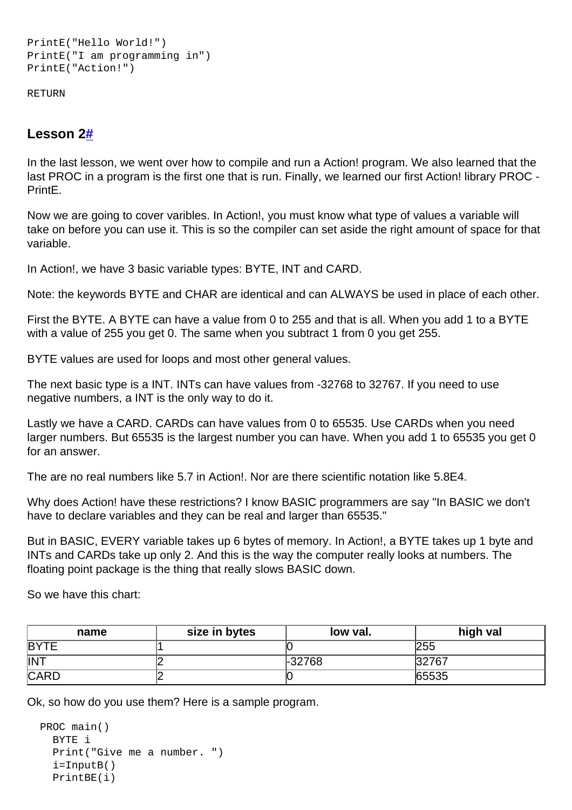```
PrintE("Hello World!") 
PrintE("I am programming in") 
PrintE("Action!")
```
RETURN

# **Lesson [2#](http://[fd00::119]:8080/wiki/#section-Action+and+BBS+Express+PRO+Tutorial-Lesson2)**

In the last lesson, we went over how to compile and run a Action! program. We also learned that the last PROC in a program is the first one that is run. Finally, we learned our first Action! library PROC - PrintE.

Now we are going to cover varibles. In Action!, you must know what type of values a variable will take on before you can use it. This is so the compiler can set aside the right amount of space for that variable.

In Action!, we have 3 basic variable types: BYTE, INT and CARD.

Note: the keywords BYTE and CHAR are identical and can ALWAYS be used in place of each other.

First the BYTE. A BYTE can have a value from 0 to 255 and that is all. When you add 1 to a BYTE with a value of 255 you get 0. The same when you subtract 1 from 0 you get 255.

BYTE values are used for loops and most other general values.

The next basic type is a INT. INTs can have values from -32768 to 32767. If you need to use negative numbers, a INT is the only way to do it.

Lastly we have a CARD. CARDs can have values from 0 to 65535. Use CARDs when you need larger numbers. But 65535 is the largest number you can have. When you add 1 to 65535 you get 0 for an answer.

The are no real numbers like 5.7 in Action!. Nor are there scientific notation like 5.8E4.

Why does Action! have these restrictions? I know BASIC programmers are say "In BASIC we don't have to declare variables and they can be real and larger than 65535."

But in BASIC, EVERY variable takes up 6 bytes of memory. In Action!, a BYTE takes up 1 byte and INTs and CARDs take up only 2. And this is the way the computer really looks at numbers. The floating point package is the thing that really slows BASIC down.

So we have this chart:

| name        | size in bytes | low val. | high val |
|-------------|---------------|----------|----------|
| <b>BYTE</b> |               |          | 255      |
| <b>INT</b>  |               | -32768   | 32767    |
| <b>CARD</b> |               |          | 65535    |

Ok, so how do you use them? Here is a sample program.

```
 PROC main()
   BYTE i
   Print("Give me a number. ")
   i=InputB()
   PrintBE(i)
```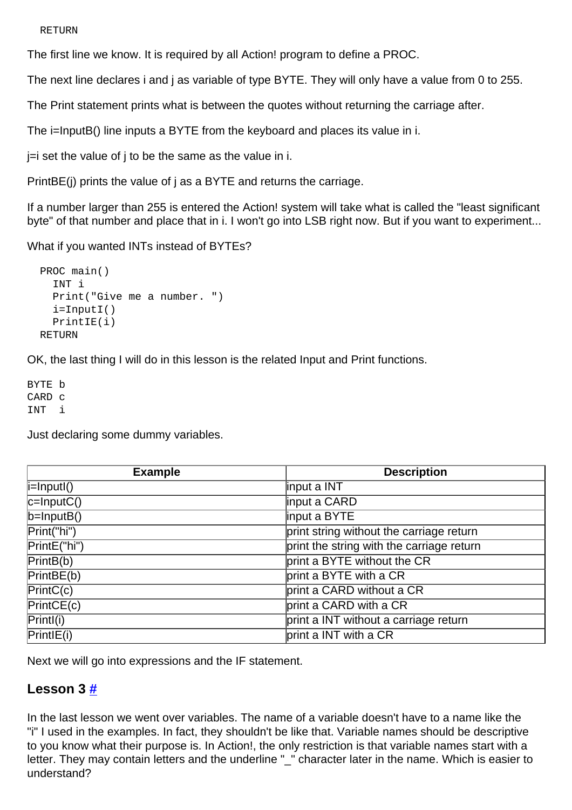#### RETURN

The first line we know. It is required by all Action! program to define a PROC.

The next line declares i and j as variable of type BYTE. They will only have a value from 0 to 255.

The Print statement prints what is between the quotes without returning the carriage after.

The i=InputB() line inputs a BYTE from the keyboard and places its value in i.

 $i$ =i set the value of i to be the same as the value in i.

PrintBE(j) prints the value of j as a BYTE and returns the carriage.

If a number larger than 255 is entered the Action! system will take what is called the "least significant byte" of that number and place that in i. I won't go into LSB right now. But if you want to experiment...

What if you wanted INTs instead of BYTEs?

```
 PROC main()
   INT i
   Print("Give me a number. ")
   i=InputI()
   PrintIE(i)
 RETURN
```
OK, the last thing I will do in this lesson is the related Input and Print functions.

BYTE b CARD c INT i

Just declaring some dummy variables.

| <b>Example</b>     | <b>Description</b>                        |
|--------------------|-------------------------------------------|
| $\vert$ i=Inputl() | input a INT                               |
| $ c=InputC()$      | input a CARD                              |
| $ b=InputB()$      | input a BYTE                              |
| Print("hi")        | print string without the carriage return  |
| PrintE("hi")       | print the string with the carriage return |
| PrintB(b)          | print a BYTE without the CR               |
| PrintBE(b)         | print a BYTE with a CR                    |
| PrintC(c)          | print a CARD without a CR                 |
| PrintCE(c)         | print a CARD with a CR                    |
| $\text{Print}(i)$  | print a INT without a carriage return     |
| PrintE(i)          | print a INT with a CR                     |

Next we will go into expressions and the IF statement.

### **Lesson 3 [#](http://[fd00::119]:8080/wiki/#section-Action+and+BBS+Express+PRO+Tutorial-Lesson3)**

In the last lesson we went over variables. The name of a variable doesn't have to a name like the "i" I used in the examples. In fact, they shouldn't be like that. Variable names should be descriptive to you know what their purpose is. In Action!, the only restriction is that variable names start with a letter. They may contain letters and the underline "\_" character later in the name. Which is easier to understand?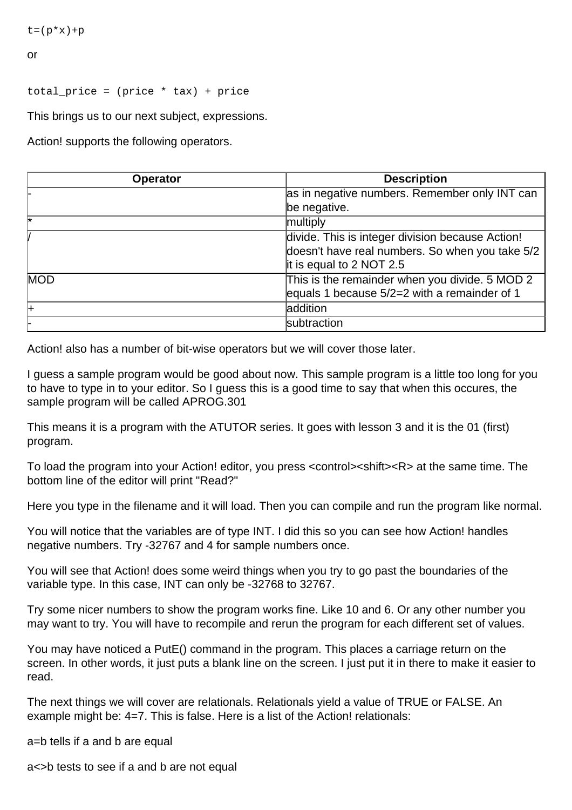```
t=(p*x)+p
```
or

total\_price =  $(p$ rice \* tax) + price

This brings us to our next subject, expressions.

Action! supports the following operators.

| <b>Operator</b> | <b>Description</b>                               |
|-----------------|--------------------------------------------------|
|                 | as in negative numbers. Remember only INT can    |
|                 | be negative.                                     |
|                 | multiply                                         |
|                 | divide. This is integer division because Action! |
|                 | doesn't have real numbers. So when you take 5/2  |
|                 | it is equal to 2 NOT 2.5                         |
| <b>MOD</b>      | This is the remainder when you divide. 5 MOD 2   |
|                 | equals 1 because $5/2=2$ with a remainder of 1   |
|                 | addition                                         |
|                 | subtraction                                      |

Action! also has a number of bit-wise operators but we will cover those later.

I guess a sample program would be good about now. This sample program is a little too long for you to have to type in to your editor. So I guess this is a good time to say that when this occures, the sample program will be called APROG.301

This means it is a program with the ATUTOR series. It goes with lesson 3 and it is the 01 (first) program.

To load the program into your Action! editor, you press <control><shift><R> at the same time. The bottom line of the editor will print "Read?"

Here you type in the filename and it will load. Then you can compile and run the program like normal.

You will notice that the variables are of type INT. I did this so you can see how Action! handles negative numbers. Try -32767 and 4 for sample numbers once.

You will see that Action! does some weird things when you try to go past the boundaries of the variable type. In this case, INT can only be -32768 to 32767.

Try some nicer numbers to show the program works fine. Like 10 and 6. Or any other number you may want to try. You will have to recompile and rerun the program for each different set of values.

You may have noticed a PutE() command in the program. This places a carriage return on the screen. In other words, it just puts a blank line on the screen. I just put it in there to make it easier to read.

The next things we will cover are relationals. Relationals yield a value of TRUE or FALSE. An example might be: 4=7. This is false. Here is a list of the Action! relationals:

a=b tells if a and b are equal

a<>b tests to see if a and b are not equal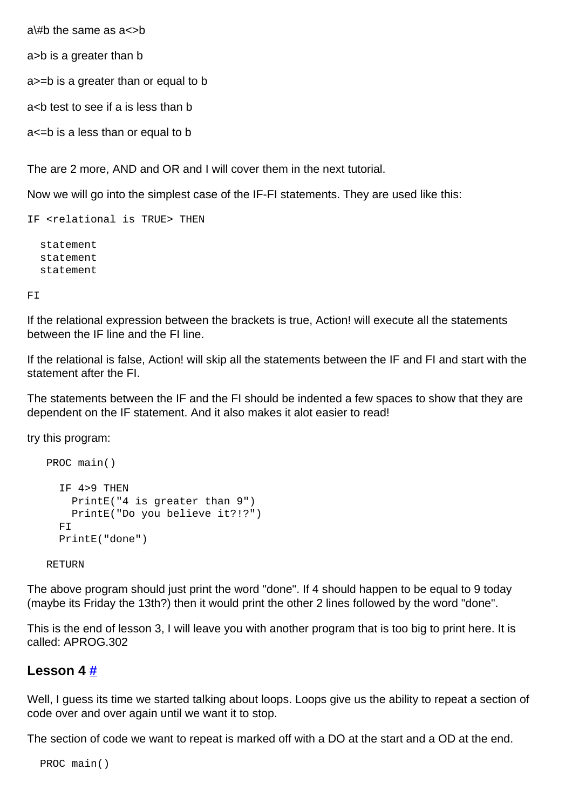a\#h the same as  $a \le b$ a>b is a greater than b a > = b is a greater than or equal to b ach test to see if a is less than b a<=b is a less than or equal to b

The are 2 more, AND and OR and I will cover them in the next tutorial.

Now we will go into the simplest case of the IF-FI statements. They are used like this:

IF <relational is TRUE> THEN

 statement statement statement

#### FI

If the relational expression between the brackets is true, Action! will execute all the statements between the IF line and the FI line.

If the relational is false, Action! will skip all the statements between the IF and FI and start with the statement after the FI.

The statements between the IF and the FI should be indented a few spaces to show that they are dependent on the IF statement. And it also makes it alot easier to read!

try this program:

```
 PROC main()
   IF 4>9 THEN
     PrintE("4 is greater than 9")
     PrintE("Do you believe it?!?")
   FI
   PrintE("done")
```
RETURN

The above program should just print the word "done". If 4 should happen to be equal to 9 today (maybe its Friday the 13th?) then it would print the other 2 lines followed by the word "done".

This is the end of lesson 3, I will leave you with another program that is too big to print here. It is called: APROG.302

#### **Lesson 4 [#](http://[fd00::119]:8080/wiki/#section-Action+and+BBS+Express+PRO+Tutorial-Lesson4)**

Well, I guess its time we started talking about loops. Loops give us the ability to repeat a section of code over and over again until we want it to stop.

The section of code we want to repeat is marked off with a DO at the start and a OD at the end.

PROC main()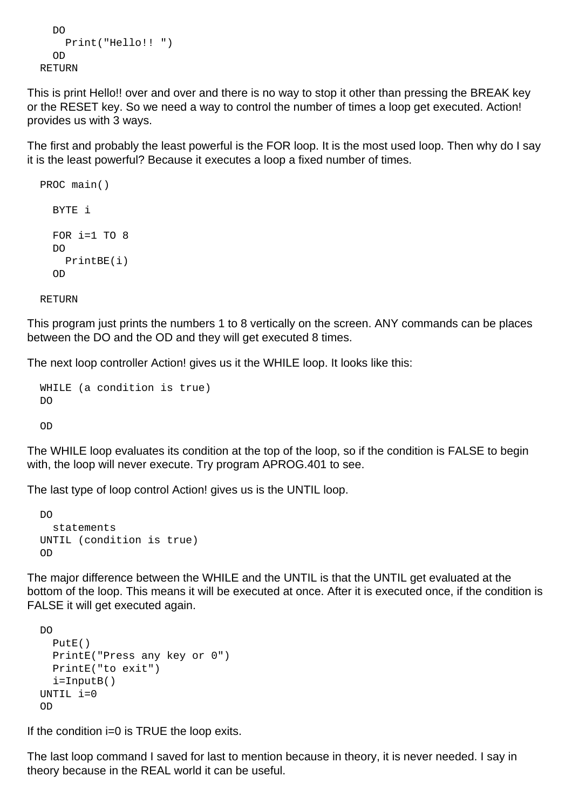```
D<sub>O</sub> Print("Hello!! ")
    OD
 RETURN
```
This is print Hello!! over and over and there is no way to stop it other than pressing the BREAK key or the RESET key. So we need a way to control the number of times a loop get executed. Action! provides us with 3 ways.

The first and probably the least powerful is the FOR loop. It is the most used loop. Then why do I say it is the least powerful? Because it executes a loop a fixed number of times.

```
 PROC main()
   BYTE i
  FOR i=1 TO 8
   DO
     PrintBE(i)
   OD
```
RETURN

This program just prints the numbers 1 to 8 vertically on the screen. ANY commands can be places between the DO and the OD and they will get executed 8 times.

The next loop controller Action! gives us it the WHILE loop. It looks like this:

```
 WHILE (a condition is true)
 DO
```
OD

The WHILE loop evaluates its condition at the top of the loop, so if the condition is FALSE to begin with, the loop will never execute. Try program APROG.401 to see.

The last type of loop control Action! gives us is the UNTIL loop.

```
D<sub>O</sub> statements
 UNTIL (condition is true)
 OD
```
The major difference between the WHILE and the UNTIL is that the UNTIL get evaluated at the bottom of the loop. This means it will be executed at once. After it is executed once, if the condition is FALSE it will get executed again.

```
 DO
   PutE()
   PrintE("Press any key or 0")
   PrintE("to exit")
  i = InputB() UNTIL i=0
\cap
```
If the condition i=0 is TRUE the loop exits.

The last loop command I saved for last to mention because in theory, it is never needed. I say in theory because in the REAL world it can be useful.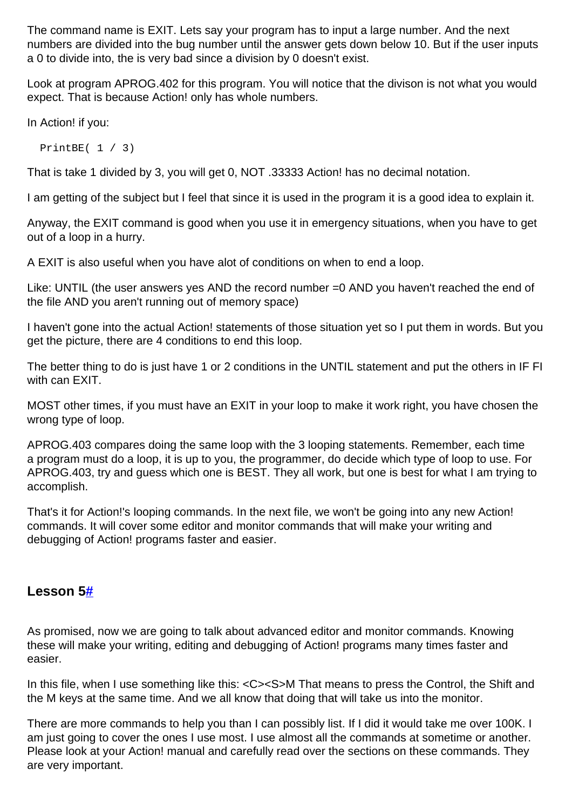The command name is EXIT. Lets say your program has to input a large number. And the next numbers are divided into the bug number until the answer gets down below 10. But if the user inputs a 0 to divide into, the is very bad since a division by 0 doesn't exist.

Look at program APROG.402 for this program. You will notice that the divison is not what you would expect. That is because Action! only has whole numbers.

In Action! if you:

PrintBE $(1 / 3)$ 

That is take 1 divided by 3, you will get 0, NOT .33333 Action! has no decimal notation.

I am getting of the subject but I feel that since it is used in the program it is a good idea to explain it.

Anyway, the EXIT command is good when you use it in emergency situations, when you have to get out of a loop in a hurry.

A EXIT is also useful when you have alot of conditions on when to end a loop.

Like: UNTIL (the user answers yes AND the record number =0 AND you haven't reached the end of the file AND you aren't running out of memory space)

I haven't gone into the actual Action! statements of those situation yet so I put them in words. But you get the picture, there are 4 conditions to end this loop.

The better thing to do is just have 1 or 2 conditions in the UNTIL statement and put the others in IF FI with can EXIT.

MOST other times, if you must have an EXIT in your loop to make it work right, you have chosen the wrong type of loop.

APROG.403 compares doing the same loop with the 3 looping statements. Remember, each time a program must do a loop, it is up to you, the programmer, do decide which type of loop to use. For APROG.403, try and guess which one is BEST. They all work, but one is best for what I am trying to accomplish.

That's it for Action!'s looping commands. In the next file, we won't be going into any new Action! commands. It will cover some editor and monitor commands that will make your writing and debugging of Action! programs faster and easier.

### **Lesson [5#](http://[fd00::119]:8080/wiki/#section-Action+and+BBS+Express+PRO+Tutorial-Lesson5)**

As promised, now we are going to talk about advanced editor and monitor commands. Knowing these will make your writing, editing and debugging of Action! programs many times faster and easier.

In this file, when I use something like this: <C><S>M That means to press the Control, the Shift and the M keys at the same time. And we all know that doing that will take us into the monitor.

There are more commands to help you than I can possibly list. If I did it would take me over 100K. I am just going to cover the ones I use most. I use almost all the commands at sometime or another. Please look at your Action! manual and carefully read over the sections on these commands. They are very important.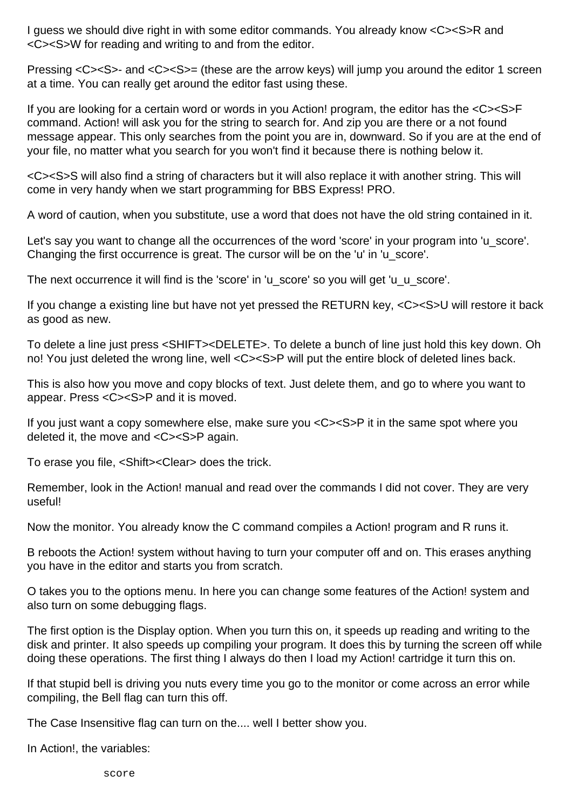I guess we should dive right in with some editor commands. You already know <C><S>R and <C><S>W for reading and writing to and from the editor.

Pressing <C><S>- and <C><S>= (these are the arrow keys) will jump you around the editor 1 screen at a time. You can really get around the editor fast using these.

If you are looking for a certain word or words in you Action! program, the editor has the <C><S>F command. Action! will ask you for the string to search for. And zip you are there or a not found message appear. This only searches from the point you are in, downward. So if you are at the end of your file, no matter what you search for you won't find it because there is nothing below it.

<C><S>S will also find a string of characters but it will also replace it with another string. This will come in very handy when we start programming for BBS Express! PRO.

A word of caution, when you substitute, use a word that does not have the old string contained in it.

Let's say you want to change all the occurrences of the word 'score' in your program into 'u\_score'. Changing the first occurrence is great. The cursor will be on the 'u' in 'u\_score'.

The next occurrence it will find is the 'score' in 'u\_score' so you will get 'u\_u\_score'.

If you change a existing line but have not yet pressed the RETURN key, <C><S>U will restore it back as good as new.

To delete a line just press <SHIFT><DELETE>. To delete a bunch of line just hold this key down. Oh no! You just deleted the wrong line, well <C><S>P will put the entire block of deleted lines back.

This is also how you move and copy blocks of text. Just delete them, and go to where you want to appear. Press <C><S>P and it is moved.

If you just want a copy somewhere else, make sure you <C><S>P it in the same spot where you deleted it, the move and <C><S>P again.

To erase you file, <Shift><Clear> does the trick.

Remember, look in the Action! manual and read over the commands I did not cover. They are very useful!

Now the monitor. You already know the C command compiles a Action! program and R runs it.

B reboots the Action! system without having to turn your computer off and on. This erases anything you have in the editor and starts you from scratch.

O takes you to the options menu. In here you can change some features of the Action! system and also turn on some debugging flags.

The first option is the Display option. When you turn this on, it speeds up reading and writing to the disk and printer. It also speeds up compiling your program. It does this by turning the screen off while doing these operations. The first thing I always do then I load my Action! cartridge it turn this on.

If that stupid bell is driving you nuts every time you go to the monitor or come across an error while compiling, the Bell flag can turn this off.

The Case Insensitive flag can turn on the.... well I better show you.

In Action!, the variables: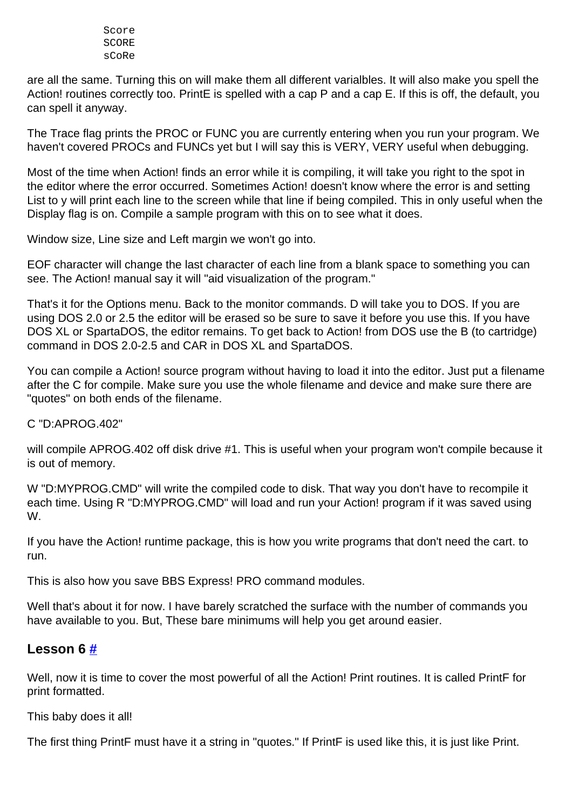are all the same. Turning this on will make them all different varialbles. It will also make you spell the Action! routines correctly too. PrintE is spelled with a cap P and a cap E. If this is off, the default, you can spell it anyway.

The Trace flag prints the PROC or FUNC you are currently entering when you run your program. We haven't covered PROCs and FUNCs yet but I will say this is VERY, VERY useful when debugging.

Most of the time when Action! finds an error while it is compiling, it will take you right to the spot in the editor where the error occurred. Sometimes Action! doesn't know where the error is and setting List to y will print each line to the screen while that line if being compiled. This in only useful when the Display flag is on. Compile a sample program with this on to see what it does.

Window size, Line size and Left margin we won't go into.

EOF character will change the last character of each line from a blank space to something you can see. The Action! manual say it will "aid visualization of the program."

That's it for the Options menu. Back to the monitor commands. D will take you to DOS. If you are using DOS 2.0 or 2.5 the editor will be erased so be sure to save it before you use this. If you have DOS XL or SpartaDOS, the editor remains. To get back to Action! from DOS use the B (to cartridge) command in DOS 2.0-2.5 and CAR in DOS XL and SpartaDOS.

You can compile a Action! source program without having to load it into the editor. Just put a filename after the C for compile. Make sure you use the whole filename and device and make sure there are "quotes" on both ends of the filename.

C "D:APROG.402"

will compile APROG.402 off disk drive #1. This is useful when your program won't compile because it is out of memory.

W "D:MYPROG.CMD" will write the compiled code to disk. That way you don't have to recompile it each time. Using R "D:MYPROG.CMD" will load and run your Action! program if it was saved using W.

If you have the Action! runtime package, this is how you write programs that don't need the cart. to run.

This is also how you save BBS Express! PRO command modules.

Well that's about it for now. I have barely scratched the surface with the number of commands you have available to you. But, These bare minimums will help you get around easier.

# **Lesson 6 [#](http://[fd00::119]:8080/wiki/#section-Action+and+BBS+Express+PRO+Tutorial-Lesson6)**

Well, now it is time to cover the most powerful of all the Action! Print routines. It is called PrintF for print formatted.

This baby does it all!

The first thing PrintF must have it a string in "quotes." If PrintF is used like this, it is just like Print.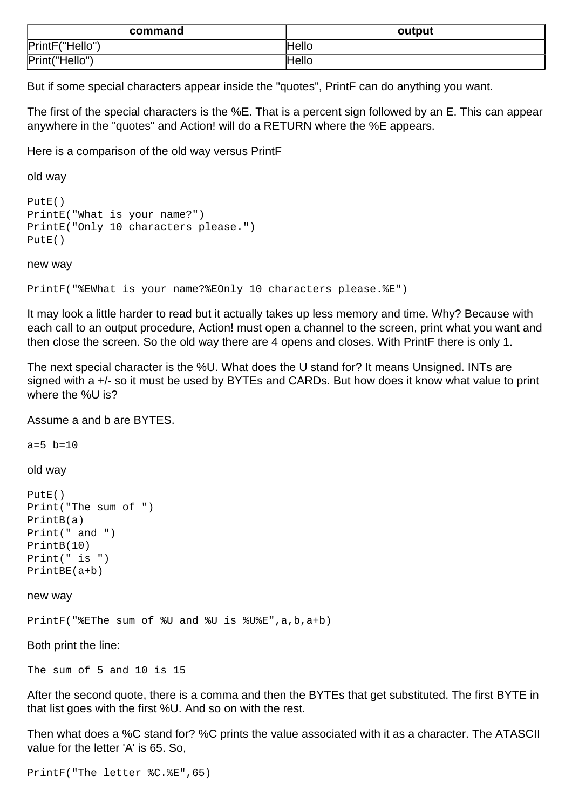| command         | output |
|-----------------|--------|
| PrintF("Hello") | Hellc  |
| Print("Hello")  | Hellc  |

But if some special characters appear inside the "quotes", PrintF can do anything you want.

The first of the special characters is the %E. That is a percent sign followed by an E. This can appear anywhere in the "quotes" and Action! will do a RETURN where the %E appears.

Here is a comparison of the old way versus PrintF

old way

```
PutE()
PrintE("What is your name?")
PrintE("Only 10 characters please.")
PutE()
```
new way

PrintF("%EWhat is your name?%EOnly 10 characters please.%E")

It may look a little harder to read but it actually takes up less memory and time. Why? Because with each call to an output procedure, Action! must open a channel to the screen, print what you want and then close the screen. So the old way there are 4 opens and closes. With PrintF there is only 1.

The next special character is the %U. What does the U stand for? It means Unsigned. INTs are signed with a +/- so it must be used by BYTEs and CARDs. But how does it know what value to print where the %U is?

Assume a and b are BYTES.

a=5 b=10 old way PutE() Print("The sum of ") PrintB(a) Print(" and ") PrintB(10) Print(" is ") PrintBE(a+b)

new way

PrintF("%EThe sum of %U and %U is %U%E",a,b,a+b)

Both print the line:

The sum of 5 and 10 is 15

After the second quote, there is a comma and then the BYTEs that get substituted. The first BYTE in that list goes with the first %U. And so on with the rest.

Then what does a %C stand for? %C prints the value associated with it as a character. The ATASCII value for the letter 'A' is 65. So,

```
PrintF("The letter %C.%E",65)
```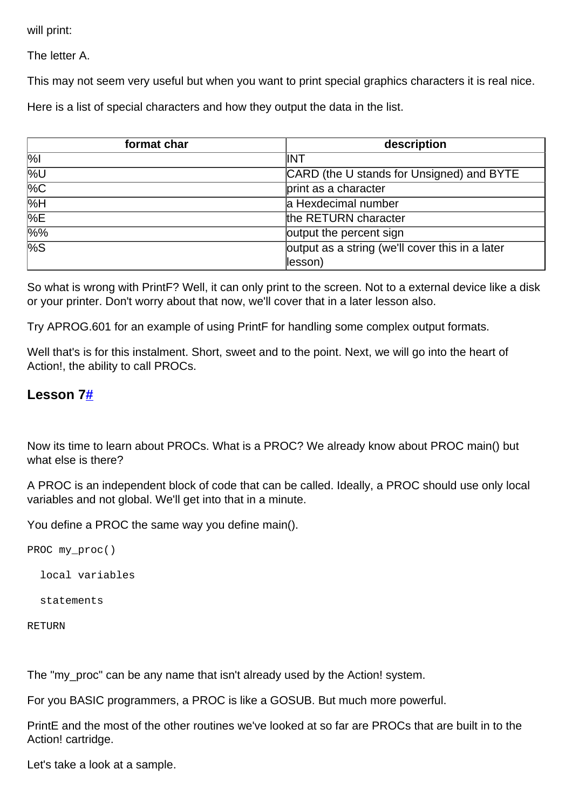will print:

The letter A.

This may not seem very useful but when you want to print special graphics characters it is real nice.

Here is a list of special characters and how they output the data in the list.

| format char      | description                                     |
|------------------|-------------------------------------------------|
| $\frac{1}{2}$    | INT                                             |
| $\sqrt{20}$      | CARD (the U stands for Unsigned) and BYTE       |
| $\overline{\%C}$ | print as a character                            |
| $\overline{\%H}$ | a Hexdecimal number                             |
| $\overline{\%E}$ | the RETURN character                            |
| $\sqrt{20\%}$    | output the percent sign                         |
| $\overline{\%S}$ | output as a string (we'll cover this in a later |
|                  | lesson)                                         |

So what is wrong with PrintF? Well, it can only print to the screen. Not to a external device like a disk or your printer. Don't worry about that now, we'll cover that in a later lesson also.

Try APROG.601 for an example of using PrintF for handling some complex output formats.

Well that's is for this instalment. Short, sweet and to the point. Next, we will go into the heart of Action!, the ability to call PROCs.

# **Lesson [7#](http://[fd00::119]:8080/wiki/#section-Action+and+BBS+Express+PRO+Tutorial-Lesson7)**

Now its time to learn about PROCs. What is a PROC? We already know about PROC main() but what else is there?

A PROC is an independent block of code that can be called. Ideally, a PROC should use only local variables and not global. We'll get into that in a minute.

You define a PROC the same way you define main().

PROC my\_proc()

local variables

statements

RETURN

The "my\_proc" can be any name that isn't already used by the Action! system.

For you BASIC programmers, a PROC is like a GOSUB. But much more powerful.

PrintE and the most of the other routines we've looked at so far are PROCs that are built in to the Action! cartridge.

Let's take a look at a sample.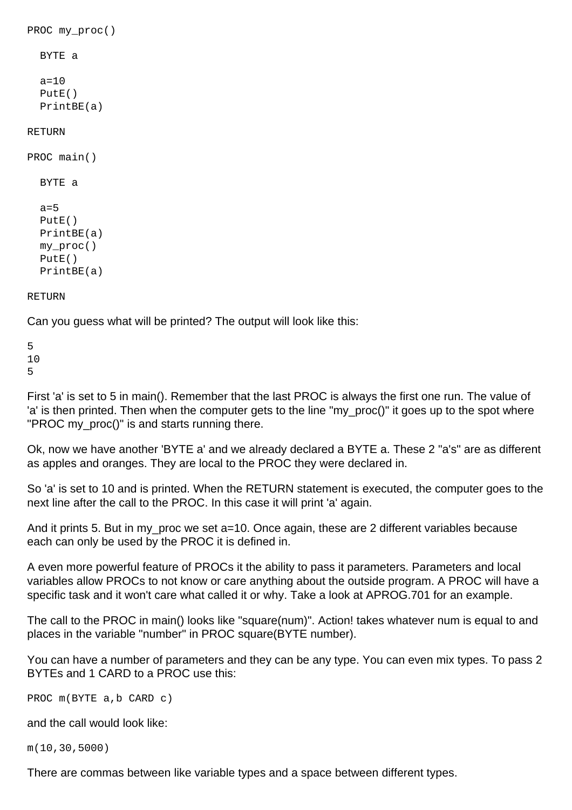```
PROC my_proc()
   BYTE a
  a = 10 PutE()
   PrintBE(a)
   BYTE a
  a=5 PutE()
   PrintBE(a)
   my_proc()
```
#### RETURN

```
PROC main()
```

```
 PutE()
 PrintBE(a)
```
#### RETURN

Can you guess what will be printed? The output will look like this:

5 10 5

First 'a' is set to 5 in main(). Remember that the last PROC is always the first one run. The value of 'a' is then printed. Then when the computer gets to the line "my\_proc()" it goes up to the spot where "PROC my\_proc()" is and starts running there.

Ok, now we have another 'BYTE a' and we already declared a BYTE a. These 2 "a's" are as different as apples and oranges. They are local to the PROC they were declared in.

So 'a' is set to 10 and is printed. When the RETURN statement is executed, the computer goes to the next line after the call to the PROC. In this case it will print 'a' again.

And it prints 5. But in my\_proc we set a=10. Once again, these are 2 different variables because each can only be used by the PROC it is defined in.

A even more powerful feature of PROCs it the ability to pass it parameters. Parameters and local variables allow PROCs to not know or care anything about the outside program. A PROC will have a specific task and it won't care what called it or why. Take a look at APROG.701 for an example.

The call to the PROC in main() looks like "square(num)". Action! takes whatever num is equal to and places in the variable "number" in PROC square(BYTE number).

You can have a number of parameters and they can be any type. You can even mix types. To pass 2 BYTEs and 1 CARD to a PROC use this:

PROC m(BYTE a,b CARD c)

and the call would look like:

m(10,30,5000)

There are commas between like variable types and a space between different types.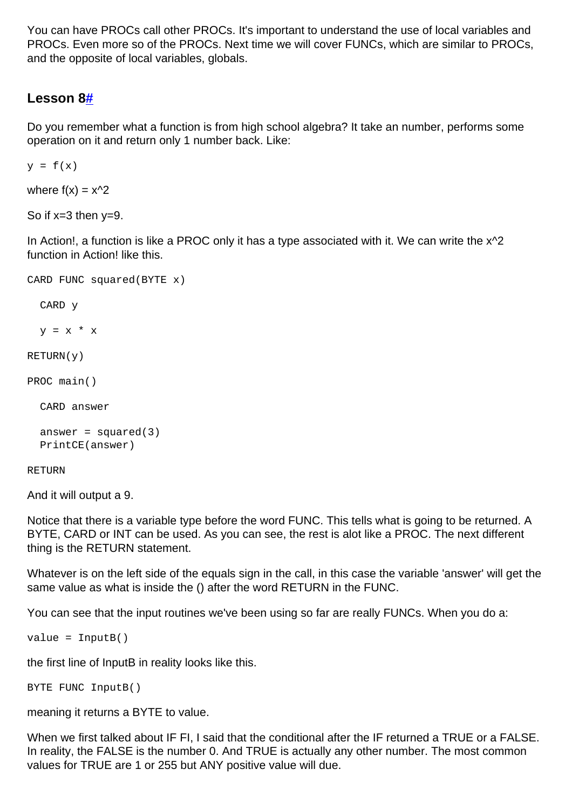You can have PROCs call other PROCs. It's important to understand the use of local variables and PROCs. Even more so of the PROCs. Next time we will cover FUNCs, which are similar to PROCs, and the opposite of local variables, globals.

# **Lesson [8#](http://[fd00::119]:8080/wiki/#section-Action+and+BBS+Express+PRO+Tutorial-Lesson8)**

Do you remember what a function is from high school algebra? It take an number, performs some operation on it and return only 1 number back. Like:

 $y = f(x)$ 

where  $f(x) = x^2$ 

So if  $x=3$  then  $y=9$ .

In Action!, a function is like a PROC only it has a type associated with it. We can write the x^2 function in Action! like this.

```
CARD FUNC squared(BYTE x)
   CARD y
  y = x * xRETURN(y)PROC main()
   CARD answer
  answer = square(3) PrintCE(answer)
RETURN
```
And it will output a 9.

Notice that there is a variable type before the word FUNC. This tells what is going to be returned. A BYTE, CARD or INT can be used. As you can see, the rest is alot like a PROC. The next different thing is the RETURN statement.

Whatever is on the left side of the equals sign in the call, in this case the variable 'answer' will get the same value as what is inside the () after the word RETURN in the FUNC.

You can see that the input routines we've been using so far are really FUNCs. When you do a:

 $value = InputB()$ 

the first line of InputB in reality looks like this.

BYTE FUNC InputB()

meaning it returns a BYTE to value.

When we first talked about IF FI, I said that the conditional after the IF returned a TRUE or a FALSE. In reality, the FALSE is the number 0. And TRUE is actually any other number. The most common values for TRUE are 1 or 255 but ANY positive value will due.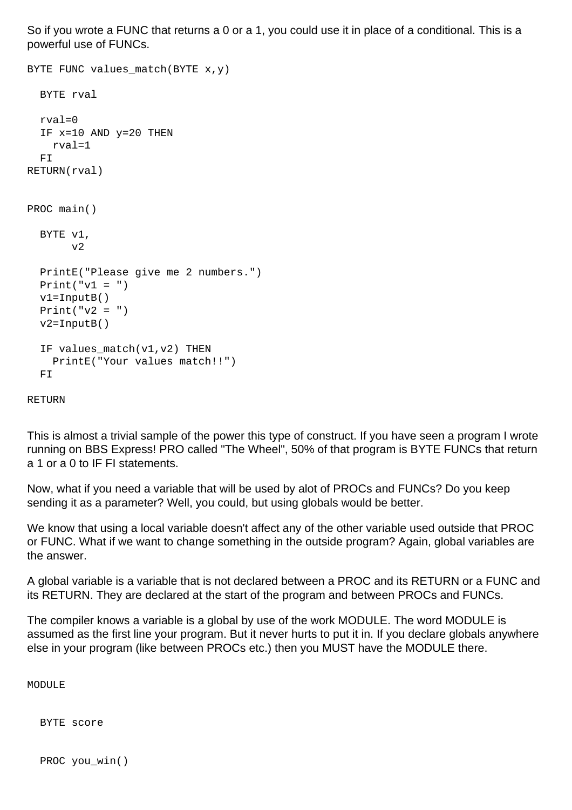So if you wrote a FUNC that returns a 0 or a 1, you could use it in place of a conditional. This is a powerful use of FUNCs.

```
BYTE FUNC values_match(BYTE x,y)
   BYTE rval
  rval=0
  IF x=10 AND y=20 THEN
     rval=1
   FI
RETURN(rval)
PROC main()
   BYTE v1,
        v2
   PrintE("Please give me 2 numbers.")
 Print("v1 = " ) v1=InputB()
 Print("v2 = " ) v2=InputB()
   IF values_match(v1,v2) THEN
     PrintE("Your values match!!")
  FT
```
RETURN

This is almost a trivial sample of the power this type of construct. If you have seen a program I wrote running on BBS Express! PRO called "The Wheel", 50% of that program is BYTE FUNCs that return a 1 or a 0 to IF FI statements.

Now, what if you need a variable that will be used by alot of PROCs and FUNCs? Do you keep sending it as a parameter? Well, you could, but using globals would be better.

We know that using a local variable doesn't affect any of the other variable used outside that PROC or FUNC. What if we want to change something in the outside program? Again, global variables are the answer.

A global variable is a variable that is not declared between a PROC and its RETURN or a FUNC and its RETURN. They are declared at the start of the program and between PROCs and FUNCs.

The compiler knows a variable is a global by use of the work MODULE. The word MODULE is assumed as the first line your program. But it never hurts to put it in. If you declare globals anywhere else in your program (like between PROCs etc.) then you MUST have the MODULE there.

MODULE

BYTE score

PROC you\_win()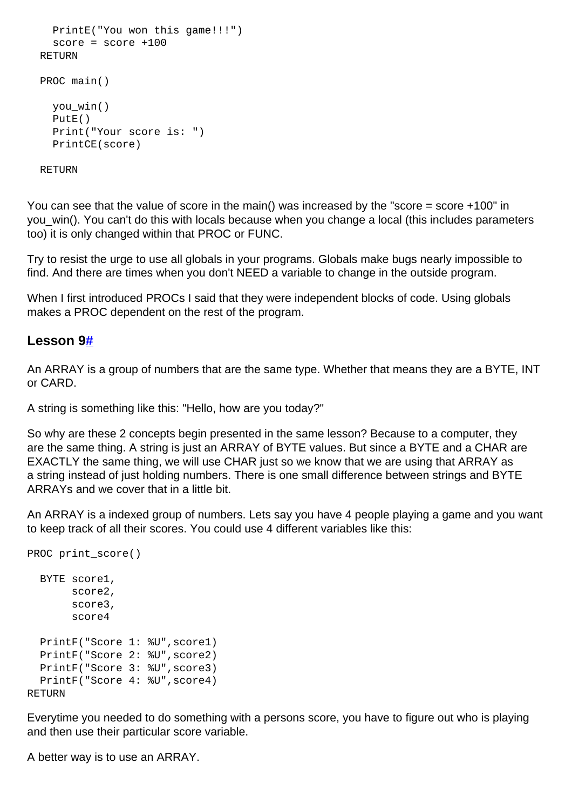```
 PrintE("You won this game!!!")
   score = score +100
 RETURN
 PROC main()
   you_win()
   PutE() 
   Print("Your score is: ")
   PrintCE(score)
 RETURN
```
You can see that the value of score in the main() was increased by the "score = score +100" in you\_win(). You can't do this with locals because when you change a local (this includes parameters too) it is only changed within that PROC or FUNC.

Try to resist the urge to use all globals in your programs. Globals make bugs nearly impossible to find. And there are times when you don't NEED a variable to change in the outside program.

When I first introduced PROCs I said that they were independent blocks of code. Using globals makes a PROC dependent on the rest of the program.

### **Lesson [9#](http://[fd00::119]:8080/wiki/#section-Action+and+BBS+Express+PRO+Tutorial-Lesson9)**

An ARRAY is a group of numbers that are the same type. Whether that means they are a BYTE, INT or CARD.

A string is something like this: "Hello, how are you today?"

So why are these 2 concepts begin presented in the same lesson? Because to a computer, they are the same thing. A string is just an ARRAY of BYTE values. But since a BYTE and a CHAR are EXACTLY the same thing, we will use CHAR just so we know that we are using that ARRAY as a string instead of just holding numbers. There is one small difference between strings and BYTE ARRAYs and we cover that in a little bit.

An ARRAY is a indexed group of numbers. Lets say you have 4 people playing a game and you want to keep track of all their scores. You could use 4 different variables like this:

```
PROC print score()
   BYTE score1,
       score2,
        score3,
        score4
   PrintF("Score 1: %U",score1)
   PrintF("Score 2: %U",score2)
   PrintF("Score 3: %U",score3)
   PrintF("Score 4: %U",score4)
RETURN
```
Everytime you needed to do something with a persons score, you have to figure out who is playing and then use their particular score variable.

A better way is to use an ARRAY.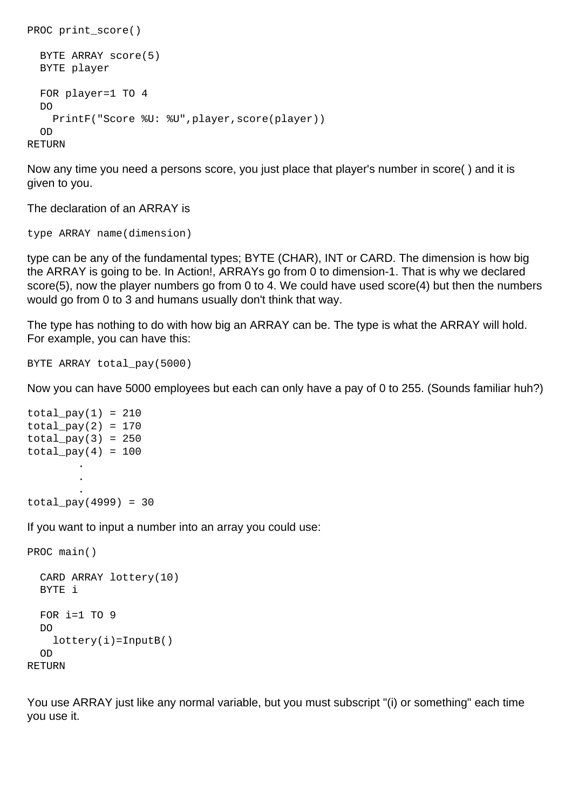```
PROC print score()
  BYTE ARRAY score(5)
  BYTE player
   FOR player=1 TO 4
  DO
     PrintF("Score %U: %U",player,score(player))
   OD
RETURN
```
Now any time you need a persons score, you just place that player's number in score( ) and it is given to you.

The declaration of an ARRAY is

type ARRAY name(dimension)

type can be any of the fundamental types; BYTE (CHAR), INT or CARD. The dimension is how big the ARRAY is going to be. In Action!, ARRAYs go from 0 to dimension-1. That is why we declared score(5), now the player numbers go from 0 to 4. We could have used score(4) but then the numbers would go from 0 to 3 and humans usually don't think that way.

The type has nothing to do with how big an ARRAY can be. The type is what the ARRAY will hold. For example, you can have this:

```
BYTE ARRAY total pay(5000)
```
Now you can have 5000 employees but each can only have a pay of 0 to 255. (Sounds familiar huh?)

```
total\_pay(1) = 210total\_{pay(2)} = 170total\_pay(3) = 250total\_pay(4) = 100 .
 .
 .
total pay(4999) = 30
```
If you want to input a number into an array you could use:

```
PROC main()
   CARD ARRAY lottery(10)
   BYTE i
   FOR i=1 TO 9
   DO
     lottery(i)=InputB()
   OD
RETURN
```
You use ARRAY just like any normal variable, but you must subscript "(i) or something" each time you use it.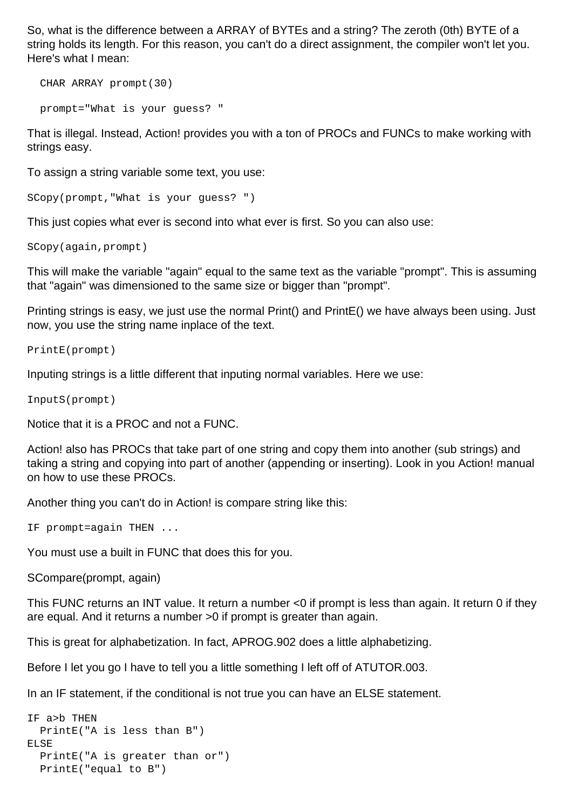So, what is the difference between a ARRAY of BYTEs and a string? The zeroth (0th) BYTE of a string holds its length. For this reason, you can't do a direct assignment, the compiler won't let you. Here's what I mean:

```
 CHAR ARRAY prompt(30)
 prompt="What is your guess? "
```
That is illegal. Instead, Action! provides you with a ton of PROCs and FUNCs to make working with strings easy.

To assign a string variable some text, you use:

SCopy(prompt,"What is your guess? ")

This just copies what ever is second into what ever is first. So you can also use:

SCopy(again,prompt)

This will make the variable "again" equal to the same text as the variable "prompt". This is assuming that "again" was dimensioned to the same size or bigger than "prompt".

Printing strings is easy, we just use the normal Print() and PrintE() we have always been using. Just now, you use the string name inplace of the text.

PrintE(prompt)

Inputing strings is a little different that inputing normal variables. Here we use:

InputS(prompt)

Notice that it is a PROC and not a FUNC.

Action! also has PROCs that take part of one string and copy them into another (sub strings) and taking a string and copying into part of another (appending or inserting). Look in you Action! manual on how to use these PROCs.

Another thing you can't do in Action! is compare string like this:

IF prompt=again THEN ...

You must use a built in FUNC that does this for you.

SCompare(prompt, again)

This FUNC returns an INT value. It return a number <0 if prompt is less than again. It return 0 if they are equal. And it returns a number >0 if prompt is greater than again.

This is great for alphabetization. In fact, APROG.902 does a little alphabetizing.

Before I let you go I have to tell you a little something I left off of ATUTOR.003.

In an IF statement, if the conditional is not true you can have an ELSE statement.

```
IF a>b THEN
  PrintE("A is less than B")
ELSE
   PrintE("A is greater than or")
   PrintE("equal to B")
```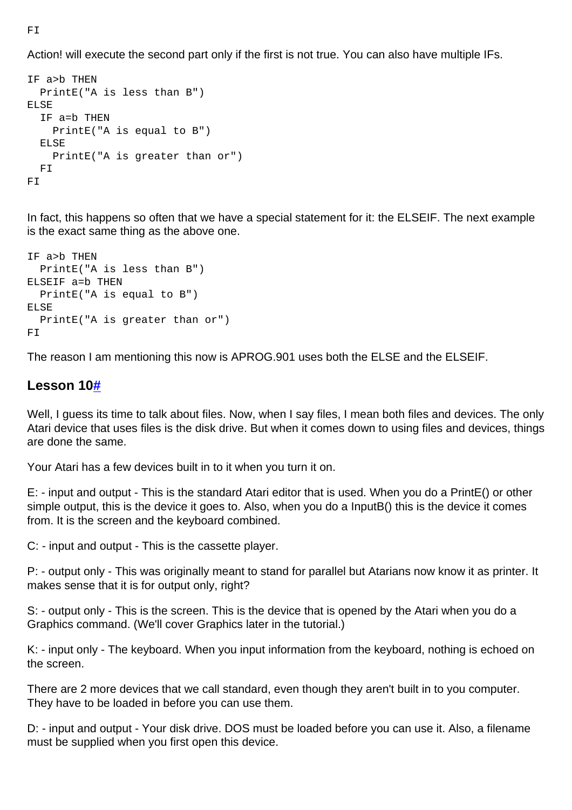Action! will execute the second part only if the first is not true. You can also have multiple IFs.

```
IF a>b THEN
   PrintE("A is less than B")
ELSE
   IF a=b THEN
     PrintE("A is equal to B")
   ELSE
     PrintE("A is greater than or")
 FTFI
```
In fact, this happens so often that we have a special statement for it: the ELSEIF. The next example is the exact same thing as the above one.

```
IF a>b THEN
  PrintE("A is less than B")
ELSEIF a=b THEN
   PrintE("A is equal to B")
ELSE
   PrintE("A is greater than or")
FI
```
The reason I am mentioning this now is APROG.901 uses both the ELSE and the ELSEIF.

#### **Lesson 1[0#](http://[fd00::119]:8080/wiki/#section-Action+and+BBS+Express+PRO+Tutorial-Lesson10)**

Well, I guess its time to talk about files. Now, when I say files, I mean both files and devices. The only Atari device that uses files is the disk drive. But when it comes down to using files and devices, things are done the same.

Your Atari has a few devices built in to it when you turn it on.

E: - input and output - This is the standard Atari editor that is used. When you do a PrintE() or other simple output, this is the device it goes to. Also, when you do a InputB() this is the device it comes from. It is the screen and the keyboard combined.

C: - input and output - This is the cassette player.

P: - output only - This was originally meant to stand for parallel but Atarians now know it as printer. It makes sense that it is for output only, right?

S: - output only - This is the screen. This is the device that is opened by the Atari when you do a Graphics command. (We'll cover Graphics later in the tutorial.)

K: - input only - The keyboard. When you input information from the keyboard, nothing is echoed on the screen.

There are 2 more devices that we call standard, even though they aren't built in to you computer. They have to be loaded in before you can use them.

D: - input and output - Your disk drive. DOS must be loaded before you can use it. Also, a filename must be supplied when you first open this device.

**FT**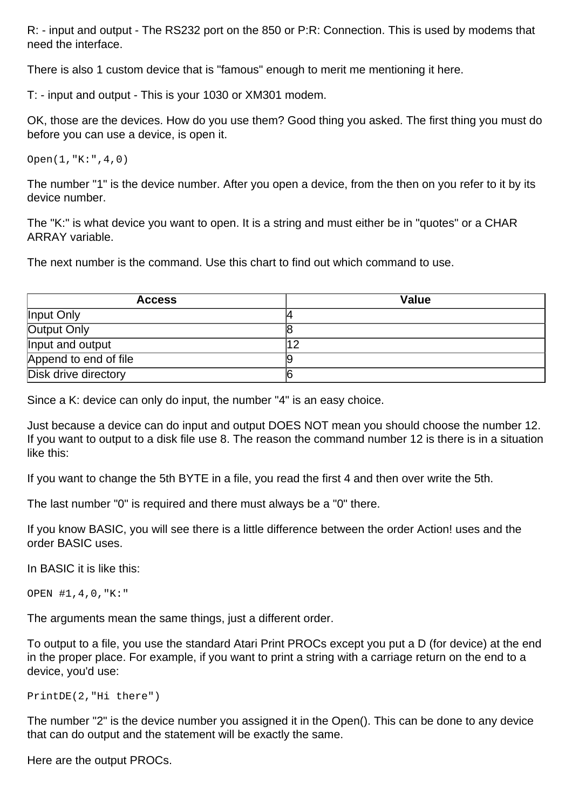R: - input and output - The RS232 port on the 850 or P:R: Connection. This is used by modems that need the interface.

There is also 1 custom device that is "famous" enough to merit me mentioning it here.

T: - input and output - This is your 1030 or XM301 modem.

OK, those are the devices. How do you use them? Good thing you asked. The first thing you must do before you can use a device, is open it.

Open(1,"K:",4,0)

The number "1" is the device number. After you open a device, from the then on you refer to it by its device number.

The "K:" is what device you want to open. It is a string and must either be in "quotes" or a CHAR ARRAY variable.

The next number is the command. Use this chart to find out which command to use.

| <b>Access</b>         | <b>Value</b> |
|-----------------------|--------------|
| Input Only            |              |
| Output Only           |              |
| Input and output      |              |
| Append to end of file |              |
| Disk drive directory  |              |

Since a K: device can only do input, the number "4" is an easy choice.

Just because a device can do input and output DOES NOT mean you should choose the number 12. If you want to output to a disk file use 8. The reason the command number 12 is there is in a situation like this:

If you want to change the 5th BYTE in a file, you read the first 4 and then over write the 5th.

The last number "0" is required and there must always be a "0" there.

If you know BASIC, you will see there is a little difference between the order Action! uses and the order BASIC uses.

In BASIC it is like this:

OPEN #1,4,0,"K:"

The arguments mean the same things, just a different order.

To output to a file, you use the standard Atari Print PROCs except you put a D (for device) at the end in the proper place. For example, if you want to print a string with a carriage return on the end to a device, you'd use:

```
PrintDE(2,"Hi there")
```
The number "2" is the device number you assigned it in the Open(). This can be done to any device that can do output and the statement will be exactly the same.

Here are the output PROCs.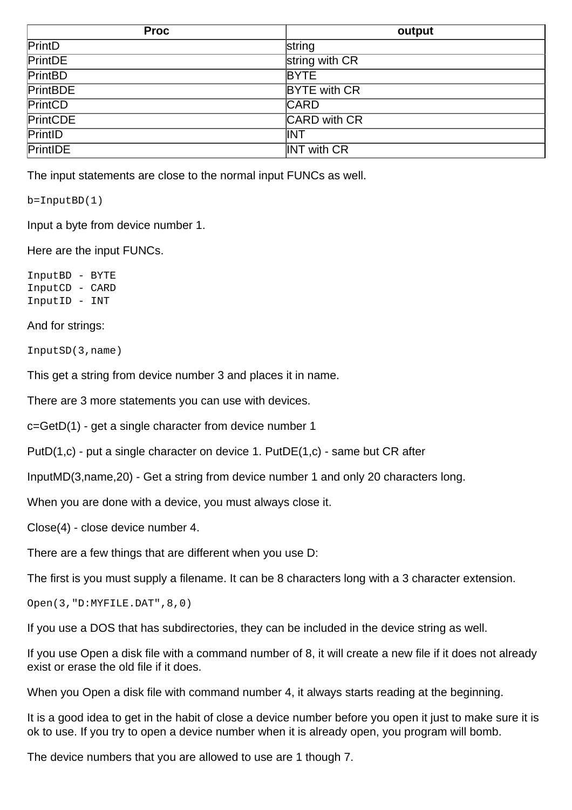| <b>Proc</b>     | output              |
|-----------------|---------------------|
| PrintD          | string              |
| <b>PrintDE</b>  | string with CR      |
| PrintBD         | <b>BYTE</b>         |
| <b>PrintBDE</b> | <b>BYTE</b> with CR |
| PrintCD         | <b>CARD</b>         |
| PrintCDE        | CARD with CR        |
| PrintID         | INT                 |
| PrintIDE        | <b>INT with CR</b>  |

The input statements are close to the normal input FUNCs as well.

b=InputBD(1)

Input a byte from device number 1.

Here are the input FUNCs.

InputBD - BYTE InputCD - CARD InputID - INT

And for strings:

InputSD(3,name)

This get a string from device number 3 and places it in name.

There are 3 more statements you can use with devices.

c=GetD(1) - get a single character from device number 1

PutD(1,c) - put a single character on device 1. PutDE(1,c) - same but CR after

InputMD(3,name,20) - Get a string from device number 1 and only 20 characters long.

When you are done with a device, you must always close it.

Close(4) - close device number 4.

There are a few things that are different when you use D:

The first is you must supply a filename. It can be 8 characters long with a 3 character extension.

Open(3,"D:MYFILE.DAT",8,0)

If you use a DOS that has subdirectories, they can be included in the device string as well.

If you use Open a disk file with a command number of 8, it will create a new file if it does not already exist or erase the old file if it does.

When you Open a disk file with command number 4, it always starts reading at the beginning.

It is a good idea to get in the habit of close a device number before you open it just to make sure it is ok to use. If you try to open a device number when it is already open, you program will bomb.

The device numbers that you are allowed to use are 1 though 7.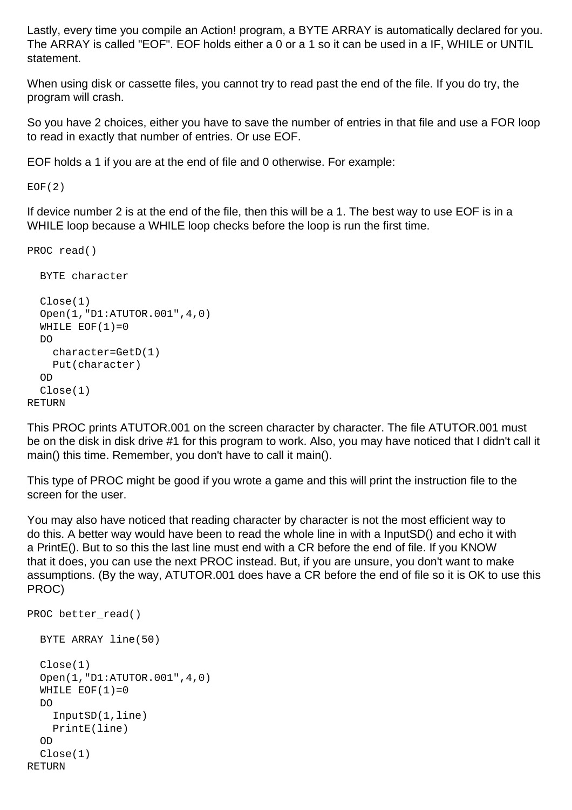Lastly, every time you compile an Action! program, a BYTE ARRAY is automatically declared for you. The ARRAY is called "EOF". EOF holds either a 0 or a 1 so it can be used in a IF, WHILE or UNTIL statement.

When using disk or cassette files, you cannot try to read past the end of the file. If you do try, the program will crash.

So you have 2 choices, either you have to save the number of entries in that file and use a FOR loop to read in exactly that number of entries. Or use EOF.

EOF holds a 1 if you are at the end of file and 0 otherwise. For example:

 $EOF(2)$ 

If device number 2 is at the end of the file, then this will be a 1. The best way to use EOF is in a WHILE loop because a WHILE loop checks before the loop is run the first time.

```
PROC read()
   BYTE character
   Close(1)
   Open(1,"D1:ATUTOR.001",4,0)
  WHILE EOF(1)=0 DO
     character=GetD(1)
     Put(character)
   OD
   Close(1)
RETURN
```
This PROC prints ATUTOR.001 on the screen character by character. The file ATUTOR.001 must be on the disk in disk drive #1 for this program to work. Also, you may have noticed that I didn't call it main() this time. Remember, you don't have to call it main().

This type of PROC might be good if you wrote a game and this will print the instruction file to the screen for the user.

You may also have noticed that reading character by character is not the most efficient way to do this. A better way would have been to read the whole line in with a InputSD() and echo it with a PrintE(). But to so this the last line must end with a CR before the end of file. If you KNOW that it does, you can use the next PROC instead. But, if you are unsure, you don't want to make assumptions. (By the way, ATUTOR.001 does have a CR before the end of file so it is OK to use this PROC)

```
PROC better read()
   BYTE ARRAY line(50)
   Close(1)
   Open(1,"D1:ATUTOR.001",4,0)
  WHILE EOF(1)=0D<sub>O</sub> InputSD(1,line)
     PrintE(line)
   OD
   Close(1)
RETURN
```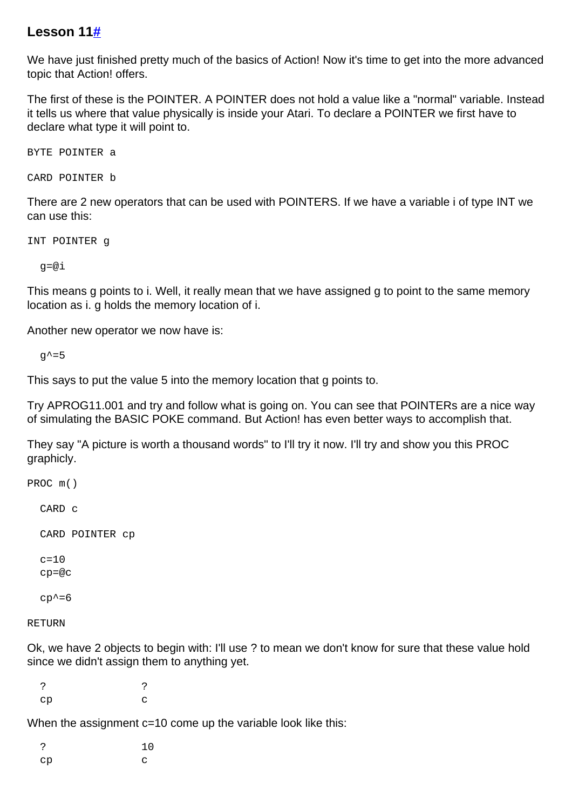### **Lesson 1[1#](http://[fd00::119]:8080/wiki/#section-Action+and+BBS+Express+PRO+Tutorial-Lesson11)**

We have just finished pretty much of the basics of Action! Now it's time to get into the more advanced topic that Action! offers.

The first of these is the POINTER. A POINTER does not hold a value like a "normal" variable. Instead it tells us where that value physically is inside your Atari. To declare a POINTER we first have to declare what type it will point to.

BYTE POINTER a CARD POINTER b

There are 2 new operators that can be used with POINTERS. If we have a variable i of type INT we can use this:

INT POINTER g

g=@i

This means g points to i. Well, it really mean that we have assigned g to point to the same memory location as i. g holds the memory location of i.

Another new operator we now have is:

 $q^2$ =5

This says to put the value 5 into the memory location that g points to.

Try APROG11.001 and try and follow what is going on. You can see that POINTERs are a nice way of simulating the BASIC POKE command. But Action! has even better ways to accomplish that.

They say "A picture is worth a thousand words" to I'll try it now. I'll try and show you this PROC graphicly.

PROC m() CARD c CARD POINTER cp  $c=10$  cp=@c  $cp^{\lambda}=6$ 

RETURN

Ok, we have 2 objects to begin with: I'll use ? to mean we don't know for sure that these value hold since we didn't assign them to anything yet.

 ? ? cp c

When the assignment c=10 come up the variable look like this:

 ? 10 cp c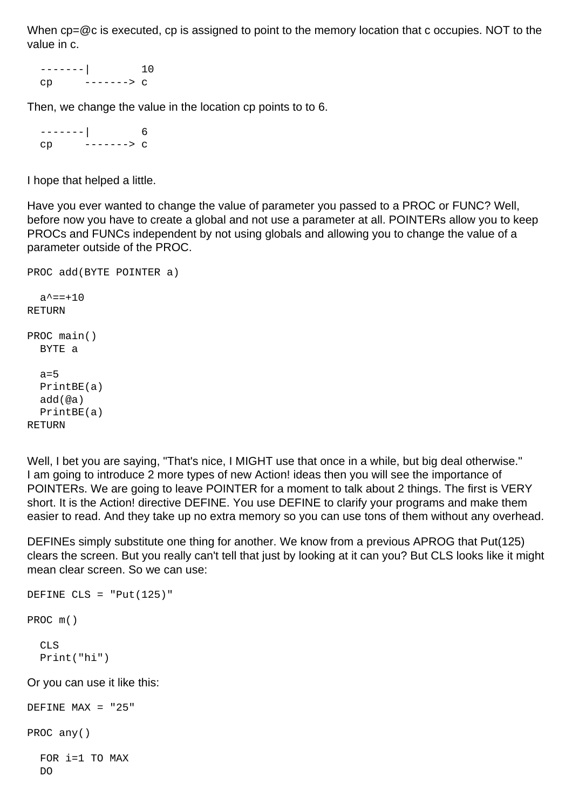When cp=@c is executed, cp is assigned to point to the memory location that c occupies. NOT to the value in c.

 -------| 10 cp -------> c

Then, we change the value in the location cp points to to 6.

 -------| 6 cp -------> c

I hope that helped a little.

Have you ever wanted to change the value of parameter you passed to a PROC or FUNC? Well, before now you have to create a global and not use a parameter at all. POINTERs allow you to keep PROCs and FUNCs independent by not using globals and allowing you to change the value of a parameter outside of the PROC.

```
PROC add(BYTE POINTER a)
  a^* = -10RETURN
PROC main()
  BYTE a
  a=5 PrintBE(a)
  add(@a)
  PrintBE(a)
RETURN
```
Well, I bet you are saying, "That's nice, I MIGHT use that once in a while, but big deal otherwise." I am going to introduce 2 more types of new Action! ideas then you will see the importance of POINTERs. We are going to leave POINTER for a moment to talk about 2 things. The first is VERY short. It is the Action! directive DEFINE. You use DEFINE to clarify your programs and make them easier to read. And they take up no extra memory so you can use tons of them without any overhead.

DEFINEs simply substitute one thing for another. We know from a previous APROG that Put(125) clears the screen. But you really can't tell that just by looking at it can you? But CLS looks like it might mean clear screen. So we can use:

```
DEFINE CLS = "Put(125)"PROC m()
  P.T\cap Print("hi")
Or you can use it like this:
DEFINE MAX = "25"
PROC any()
```
 FOR i=1 TO MAX DO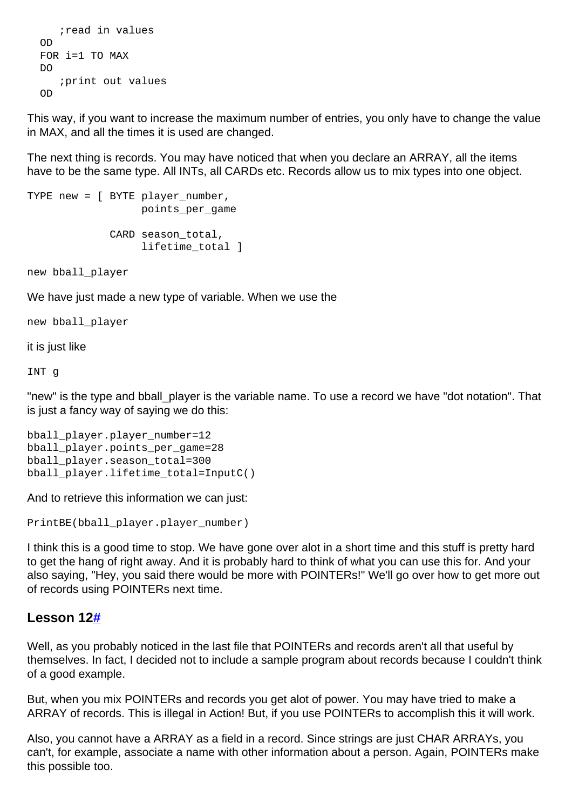```
 ;read in values
 OD
 FOR i=1 TO MAX
D<sub>O</sub> ;print out values
 OD
```
This way, if you want to increase the maximum number of entries, you only have to change the value in MAX, and all the times it is used are changed.

The next thing is records. You may have noticed that when you declare an ARRAY, all the items have to be the same type. All INTs, all CARDs etc. Records allow us to mix types into one object.

```
TYPE new = [ BYTE player number,
                   points_per_game
              CARD season_total,
                  lifetime_total ]
```
new bball\_player

We have just made a new type of variable. When we use the

new bball\_player

it is just like

INT g

"new" is the type and bball\_player is the variable name. To use a record we have "dot notation". That is just a fancy way of saying we do this:

```
bball_player.player_number=12
bball player.points per game=28
bball_player.season_total=300
bball_player.lifetime_total=InputC()
```
And to retrieve this information we can just:

PrintBE(bball\_player.player\_number)

I think this is a good time to stop. We have gone over alot in a short time and this stuff is pretty hard to get the hang of right away. And it is probably hard to think of what you can use this for. And your also saying, "Hey, you said there would be more with POINTERs!" We'll go over how to get more out of records using POINTERs next time.

#### **Lesson 1[2#](http://[fd00::119]:8080/wiki/#section-Action+and+BBS+Express+PRO+Tutorial-Lesson12)**

Well, as you probably noticed in the last file that POINTERs and records aren't all that useful by themselves. In fact, I decided not to include a sample program about records because I couldn't think of a good example.

But, when you mix POINTERs and records you get alot of power. You may have tried to make a ARRAY of records. This is illegal in Action! But, if you use POINTERs to accomplish this it will work.

Also, you cannot have a ARRAY as a field in a record. Since strings are just CHAR ARRAYs, you can't, for example, associate a name with other information about a person. Again, POINTERs make this possible too.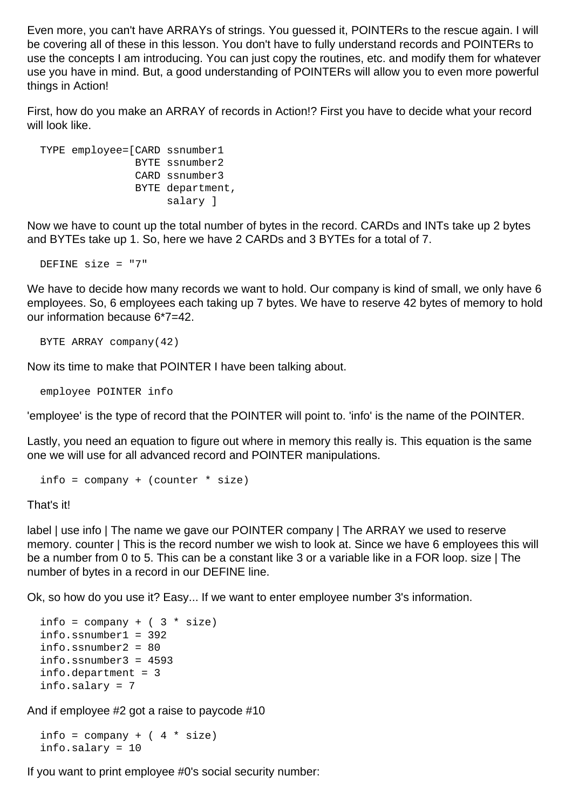Even more, you can't have ARRAYs of strings. You guessed it, POINTERs to the rescue again. I will be covering all of these in this lesson. You don't have to fully understand records and POINTERs to use the concepts I am introducing. You can just copy the routines, etc. and modify them for whatever use you have in mind. But, a good understanding of POINTERs will allow you to even more powerful things in Action!

First, how do you make an ARRAY of records in Action!? First you have to decide what your record will look like.

```
 TYPE employee=[CARD ssnumber1
                BYTE ssnumber2
                CARD ssnumber3
                 BYTE department,
                      salary ]
```
Now we have to count up the total number of bytes in the record. CARDs and INTs take up 2 bytes and BYTEs take up 1. So, here we have 2 CARDs and 3 BYTEs for a total of 7.

DEFINE size = "7"

We have to decide how many records we want to hold. Our company is kind of small, we only have 6 employees. So, 6 employees each taking up 7 bytes. We have to reserve 42 bytes of memory to hold our information because 6\*7=42.

BYTE ARRAY company(42)

Now its time to make that POINTER I have been talking about.

employee POINTER info

'employee' is the type of record that the POINTER will point to. 'info' is the name of the POINTER.

Lastly, you need an equation to figure out where in memory this really is. This equation is the same one we will use for all advanced record and POINTER manipulations.

```
 info = company + (counter * size)
```
That's it!

label | use info | The name we gave our POINTER company | The ARRAY we used to reserve memory. counter | This is the record number we wish to look at. Since we have 6 employees this will be a number from 0 to 5. This can be a constant like 3 or a variable like in a FOR loop. size | The number of bytes in a record in our DEFINE line.

Ok, so how do you use it? Easy... If we want to enter employee number 3's information.

```
info = company + (3 * size) info.ssnumber1 = 392
 info.ssnumber2 = 80
 info.ssnumber3 = 4593
 info.department = 3
 info.salary = 7
```
And if employee #2 got a raise to paycode #10

info = company +  $(4 * size)$ info.salary = 10

If you want to print employee #0's social security number: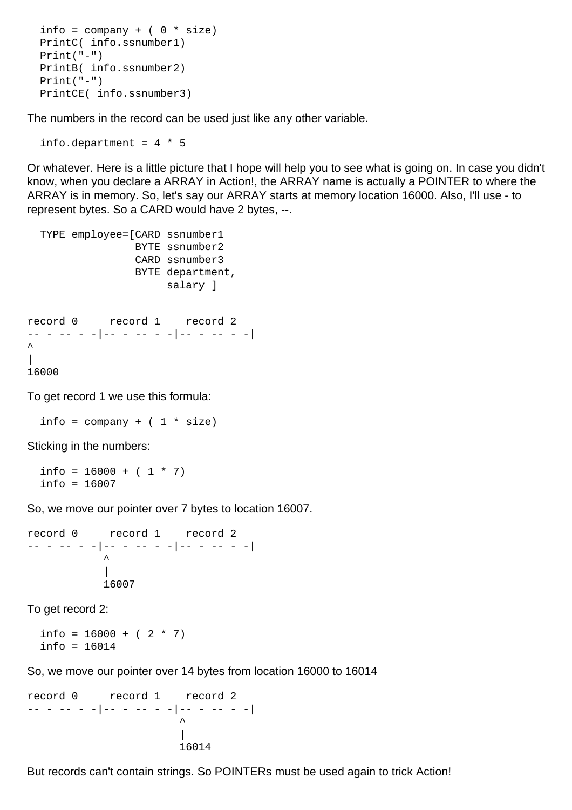```
info = company + (0 * size) PrintC( info.ssnumber1)
Print(" -") PrintB( info.ssnumber2)
Print(" -") PrintCE( info.ssnumber3)
```
The numbers in the record can be used just like any other variable.

info.department =  $4 * 5$ 

Or whatever. Here is a little picture that I hope will help you to see what is going on. In case you didn't know, when you declare a ARRAY in Action!, the ARRAY name is actually a POINTER to where the ARRAY is in memory. So, let's say our ARRAY starts at memory location 16000. Also, I'll use - to represent bytes. So a CARD would have 2 bytes, --.

```
 TYPE employee=[CARD ssnumber1
                 BYTE ssnumber2
                  CARD ssnumber3
                  BYTE department,
                        salary ]
record 0 record 1 record 2
-- - -- - -|-- - -- - -|-- - -- - -|
\lambda|
16000
```
To get record 1 we use this formula:

info = company +  $(1 * size)$ 

Sticking in the numbers:

 $info = 16000 + (1 * 7)$  $info = 16007$ 

So, we move our pointer over 7 bytes to location 16007.

record 0 record 1 record 2 -- - -- - -|-- - -- - -|-- - -- - -|  $\sim$  | 16007

To get record 2:

info =  $16000 + (2 * 7)$ info = 16014

So, we move our pointer over 14 bytes from location 16000 to 16014

record 0 record 1 record 2 -- - -- - -|-- - -- - -|-- - -- - -| ^ | 16014

But records can't contain strings. So POINTERs must be used again to trick Action!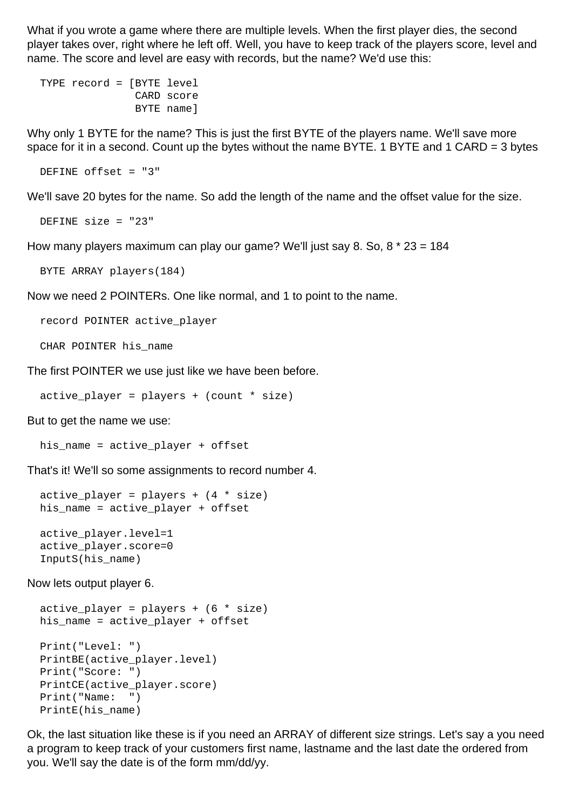What if you wrote a game where there are multiple levels. When the first player dies, the second player takes over, right where he left off. Well, you have to keep track of the players score, level and name. The score and level are easy with records, but the name? We'd use this:

```
 TYPE record = [BYTE level 
                 CARD score
                 BYTE name]
```
Why only 1 BYTE for the name? This is just the first BYTE of the players name. We'll save more space for it in a second. Count up the bytes without the name BYTE. 1 BYTE and 1 CARD = 3 bytes

DEFINE offset = "3"

We'll save 20 bytes for the name. So add the length of the name and the offset value for the size.

DEFINE size = "23"

How many players maximum can play our game? We'll just say 8. So, 8 \* 23 = 184

BYTE ARRAY players(184)

Now we need 2 POINTERs. One like normal, and 1 to point to the name.

```
 record POINTER active_player
```
CHAR POINTER his\_name

The first POINTER we use just like we have been before.

 $active_{player} = players + (count * size)$ 

But to get the name we use:

his\_name = active\_player + offset

That's it! We'll so some assignments to record number 4.

```
active player = players + (4 * size) his_name = active_player + offset
 active_player.level=1
 active_player.score=0
 InputS(his_name)
```
Now lets output player 6.

```
active player = players + (6 * size) his_name = active_player + offset
 Print("Level: ")
 PrintBE(active_player.level)
 Print("Score: ")
 PrintCE(active_player.score)
 Print("Name: ")
 PrintE(his_name)
```
Ok, the last situation like these is if you need an ARRAY of different size strings. Let's say a you need a program to keep track of your customers first name, lastname and the last date the ordered from you. We'll say the date is of the form mm/dd/yy.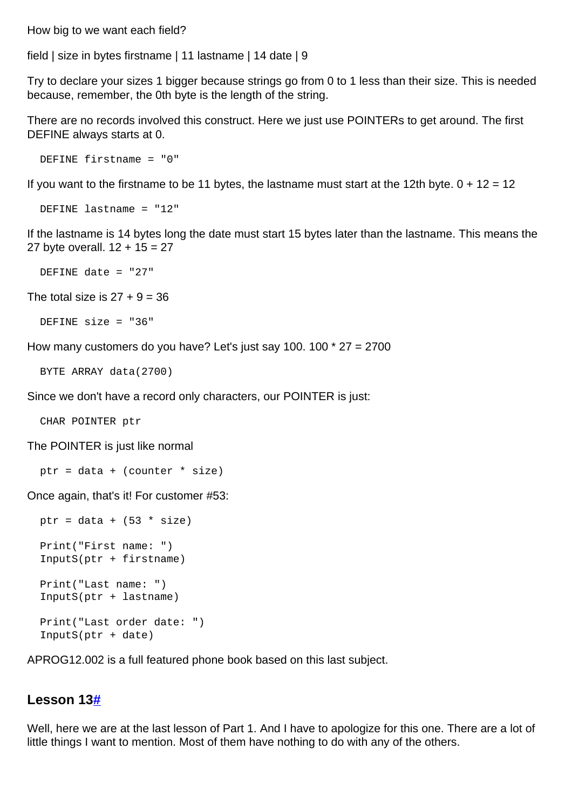How big to we want each field?

field | size in bytes firstname | 11 lastname | 14 date | 9

Try to declare your sizes 1 bigger because strings go from 0 to 1 less than their size. This is needed because, remember, the 0th byte is the length of the string.

There are no records involved this construct. Here we just use POINTERs to get around. The first DEFINE always starts at 0.

DEFINE firstname = "0"

If you want to the firstname to be 11 bytes, the lastname must start at the 12th byte.  $0 + 12 = 12$ 

DEFINE lastname = "12"

If the lastname is 14 bytes long the date must start 15 bytes later than the lastname. This means the 27 byte overall. 12 + 15 = 27

DEFINE date = "27"

The total size is  $27 + 9 = 36$ 

```
 DEFINE size = "36"
```
How many customers do you have? Let's just say 100. 100  $*$  27 = 2700

```
 BYTE ARRAY data(2700)
```
Since we don't have a record only characters, our POINTER is just:

CHAR POINTER ptr

The POINTER is just like normal

ptr = data + (counter \* size)

Once again, that's it! For customer #53:

```
ptr = data + (53 * size) Print("First name: ")
 InputS(ptr + firstname)
 Print("Last name: ")
 InputS(ptr + lastname)
 Print("Last order date: ")
 InputS(ptr + date)
```
APROG12.002 is a full featured phone book based on this last subject.

#### **Lesson 1[3#](http://[fd00::119]:8080/wiki/#section-Action+and+BBS+Express+PRO+Tutorial-Lesson13)**

Well, here we are at the last lesson of Part 1. And I have to apologize for this one. There are a lot of little things I want to mention. Most of them have nothing to do with any of the others.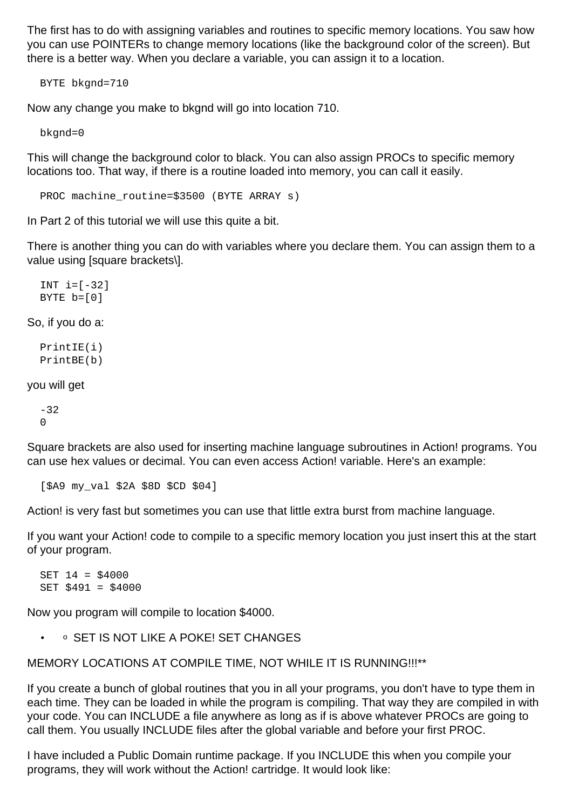The first has to do with assigning variables and routines to specific memory locations. You saw how you can use POINTERs to change memory locations (like the background color of the screen). But there is a better way. When you declare a variable, you can assign it to a location.

BYTE bkgnd=710

Now any change you make to bkgnd will go into location 710.

bkgnd=0

This will change the background color to black. You can also assign PROCs to specific memory locations too. That way, if there is a routine loaded into memory, you can call it easily.

PROC machine routine=\$3500 (BYTE ARRAY s)

In Part 2 of this tutorial we will use this quite a bit.

There is another thing you can do with variables where you declare them. You can assign them to a value using [square brackets\].

INT  $i=[-32]$ BYTE b=[0]

So, if you do a:

 PrintIE(i) PrintBE(b)

you will get

 $-32$ 0

Square brackets are also used for inserting machine language subroutines in Action! programs. You can use hex values or decimal. You can even access Action! variable. Here's an example:

```
 [$A9 my_val $2A $8D $CD $04]
```
Action! is very fast but sometimes you can use that little extra burst from machine language.

If you want your Action! code to compile to a specific memory location you just insert this at the start of your program.

 $SET 14 = $4000$ SET \$491 = \$4000

Now you program will compile to location \$4000.

• o SET IS NOT LIKE A POKE! SET CHANGES

MEMORY LOCATIONS AT COMPILE TIME, NOT WHILE IT IS RUNNING!!!\*\*

If you create a bunch of global routines that you in all your programs, you don't have to type them in each time. They can be loaded in while the program is compiling. That way they are compiled in with your code. You can INCLUDE a file anywhere as long as if is above whatever PROCs are going to call them. You usually INCLUDE files after the global variable and before your first PROC.

I have included a Public Domain runtime package. If you INCLUDE this when you compile your programs, they will work without the Action! cartridge. It would look like: